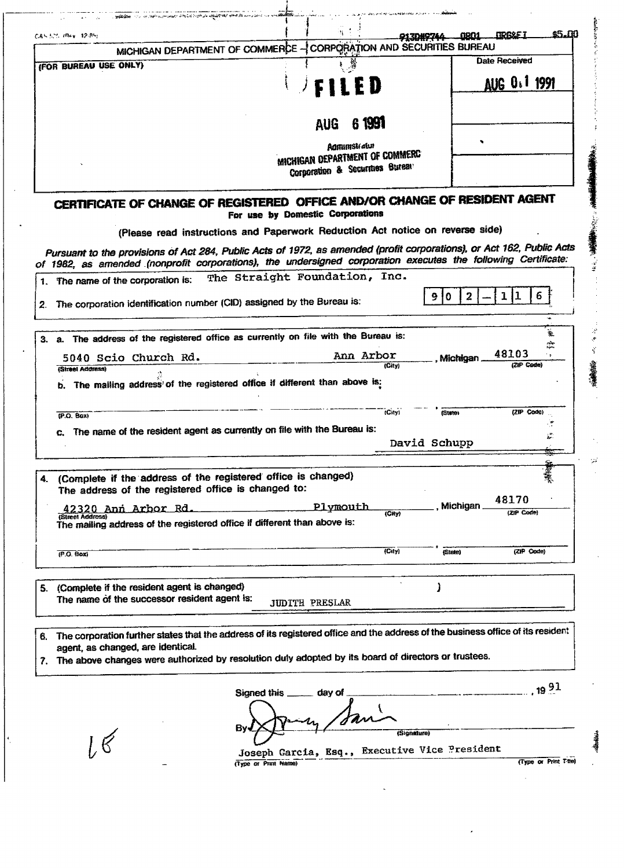| C&S 525 /Rev. 12-85).                                                                                                                                                                                                                  |                                                                          |                                                                               | <b><i>MREXE I</i></b><br><u>man 1</u> | 45.DD                 |
|----------------------------------------------------------------------------------------------------------------------------------------------------------------------------------------------------------------------------------------|--------------------------------------------------------------------------|-------------------------------------------------------------------------------|---------------------------------------|-----------------------|
|                                                                                                                                                                                                                                        |                                                                          | MICHIGAN DEPARTMENT OF COMMERCE - CORPORATION AND SECURITIES BUREAU           | <b>Date Received</b>                  |                       |
| (FOR BUREAU USE ONLY)                                                                                                                                                                                                                  |                                                                          |                                                                               |                                       |                       |
|                                                                                                                                                                                                                                        |                                                                          | <b>FILED</b>                                                                  | AUG 0.1 1991                          |                       |
|                                                                                                                                                                                                                                        |                                                                          | 6 1991<br><b>AUG</b>                                                          |                                       |                       |
|                                                                                                                                                                                                                                        |                                                                          | <b>Administratur</b>                                                          |                                       |                       |
|                                                                                                                                                                                                                                        |                                                                          | MICHIGAN DEPARTMENT OF COMMERC<br>Corporation & Securities Bureau             |                                       |                       |
| CERTIFICATE OF CHANGE OF REGISTERED OFFICE AND/OR CHANGE OF RESIDENT AGENT                                                                                                                                                             |                                                                          | For use by Domestic Corporations                                              |                                       |                       |
|                                                                                                                                                                                                                                        |                                                                          | (Please read instructions and Paperwork Reduction Act notice on reverse side) |                                       |                       |
| Pursuant to the provisions of Act 284, Public Acts of 1972, as amended (profit corporations), or Act 162, Public Acts<br>of 1982, as amended (nonprofit corporations), the undersigned corporation executes the following Certificate: |                                                                          |                                                                               |                                       |                       |
| 1. The name of the corporation is:                                                                                                                                                                                                     |                                                                          | The Straight Foundation, Inc.                                                 |                                       |                       |
| 2. The corporation identification number (CID) assigned by the Bureau is:                                                                                                                                                              |                                                                          |                                                                               | $\overline{a}$<br>1<br>0<br>91        | 6                     |
| 3. a. The address of the registered office as currently on file with the Bureau is:                                                                                                                                                    |                                                                          |                                                                               |                                       | Ť.                    |
| 5040 Scio Church Rd.                                                                                                                                                                                                                   |                                                                          | Ann Arbor<br>(City)                                                           | 48103<br>, Michigan<br>(ZIP Code)     | ಭೇ                    |
| (Street Address)                                                                                                                                                                                                                       |                                                                          |                                                                               |                                       |                       |
|                                                                                                                                                                                                                                        |                                                                          |                                                                               |                                       |                       |
| b.                                                                                                                                                                                                                                     | The mailing address of the registered office if different than above is: |                                                                               |                                       |                       |
| (PO, Box)                                                                                                                                                                                                                              |                                                                          | (City)                                                                        | (ZIP Code)<br>(State)                 | ÷,                    |
| The name of the resident agent as currently on file with the Bureau is:                                                                                                                                                                |                                                                          |                                                                               |                                       | E.                    |
|                                                                                                                                                                                                                                        |                                                                          |                                                                               | David Schupp                          |                       |
| (Complete if the address of the registered office is changed)                                                                                                                                                                          |                                                                          |                                                                               |                                       |                       |
| The address of the registered office is changed to:                                                                                                                                                                                    |                                                                          |                                                                               | 48170                                 |                       |
| 42320 Ann Arbor Rd.<br>(Street Address)<br>The mailing address of the registered office if different than above is:                                                                                                                    |                                                                          | Plymouth<br>(Gity)                                                            | Michigan<br>(ZIP Code)                |                       |
| (P.O. Box)                                                                                                                                                                                                                             |                                                                          | (City)                                                                        | (ZIP Code)<br>(State)                 |                       |
|                                                                                                                                                                                                                                        |                                                                          |                                                                               |                                       |                       |
| (Complete if the resident agent is changed)<br>The name of the successor resident agent is:                                                                                                                                            |                                                                          | <b>JUDITH PRESLAR</b>                                                         |                                       |                       |
|                                                                                                                                                                                                                                        |                                                                          |                                                                               |                                       |                       |
| The corporation further states that the address of its registered office and the address of the business office of its resident<br>agent, as changed, are identical.                                                                   |                                                                          |                                                                               |                                       |                       |
|                                                                                                                                                                                                                                        |                                                                          |                                                                               |                                       |                       |
|                                                                                                                                                                                                                                        | Signed this                                                              | day of                                                                        |                                       | ,1991                 |
|                                                                                                                                                                                                                                        | By.                                                                      | (Signature)                                                                   |                                       |                       |
| 5.<br>6.<br>7. The above changes were authorized by resolution duly adopted by its board of directors or trustees.<br>$\mathcal{R}$                                                                                                    | (Type or Print Name)                                                     | Joseph Garcia, Esq., Executive Vice President                                 |                                       | (Type or Print T-tie) |

بالتنابان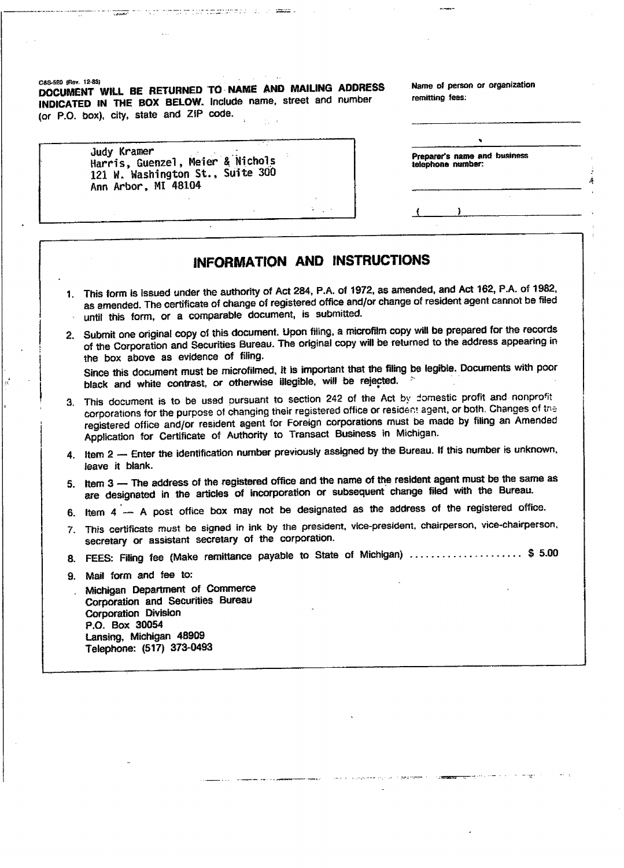C4S-5EO (Be\*. 12-85) **DOCUMENT WILL BE RETURNED TO NAME AND MAILING ADDRESS** Name of person or organization **INDICATED IN THE BOX BELOW,** include name, street and number remitting fees: DICATED IN THE BUX BELUW, INCIUDE.

ma me a con marzo de cerco de

| Judy Kramer<br>Harris, Guenzel, Meier & Nichols<br>121 W. Washington St., Suite 300<br>Ann Arbor, MI 48104 |  |
|------------------------------------------------------------------------------------------------------------|--|
|------------------------------------------------------------------------------------------------------------|--|

|                   | Preparer's name and business |  |
|-------------------|------------------------------|--|
| telephone number: |                              |  |

## **INFORMATION AND INSTRUCTIONS**

- 1. This form is issued under the authority of Act 284, P.A. of 1972, as amended, and Act 162, P.A. of 1982, as amended. The certificate of change of registered office and/or change of resident agent cannot be filed until this form, or a comparable document, is submitted.
- 2. Submit one original copy of this document. Upon filing, a microfilm copy will be prepared for the records of the Corporation and Securities Bureau. The original copy will be returned to the address appearing in the box above as evidence of fifing.

Since this document must be microfilmed, it is important that the filing be legible. Documents with poor black and white contrast, or otherwise illegible, will be rejected.

- 3. This document is to be used pursuant to section 242 of the Act by domestic profit and nonprofit corporations for the purpose of changing their registered office or resident agent, or both. Changes of tne registered office and/or resident agent for Foreign corporations must be made by filing an Amended Application for Certificate of Authority to Transact Business in Michigan.
- $\frac{1}{4}$ . It is number the identification number previously assigned by the Bureau. If this number is unknown, leave it blank.
- 5. Item 3 The address of the registered office and the name of the resident agent must be the same as are designated in the articles of incorporation or subsequent change filed with the Bureau.
- 6. Item 4 A post office box may not be designated as the address of the registered office.
- 7. This certificate must be signed in ink by the president, vice-president, chairperson, vice-chairperson, secretary or assistant secretary of the corporation.
- 8. FEES: Filing fee (Make remittance payable to State of Michigan) ...................... \$ 5.00
- 9. Mail form and fee to:
- . Michigan Department of Commerce Corporation and Securities Bureau Corporation and Ocu<br>Corporation Division P.O. Box 30054 Lansing, Michigan 48909 Lansing, Michigan 40000<br>Felephone: (617) 379-0403